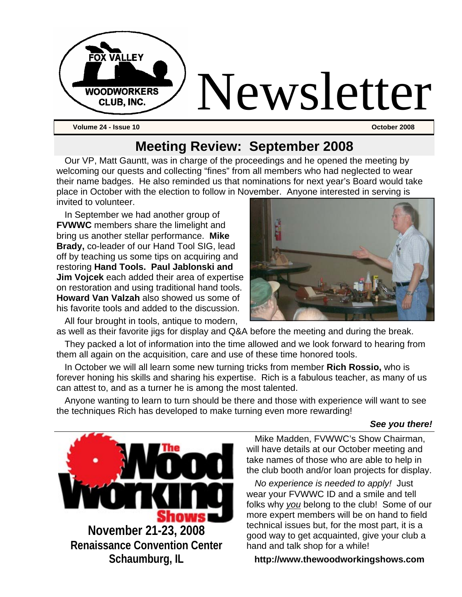

## **Meeting Review: September 2008**

Our VP, Matt Gauntt, was in charge of the proceedings and he opened the meeting by welcoming our quests and collecting "fines" from all members who had neglected to wear their name badges. He also reminded us that nominations for next year's Board would take place in October with the election to follow in November. Anyone interested in serving is invited to volunteer.

In September we had another group of **FVWWC** members share the limelight and bring us another stellar performance. **Mike Brady,** co-leader of our Hand Tool SIG, lead off by teaching us some tips on acquiring and restoring **Hand Tools. Paul Jablonski and Jim Vojcek** each added their area of expertise on restoration and using traditional hand tools. **Howard Van Valzah** also showed us some of his favorite tools and added to the discussion.

All four brought in tools, antique to modern,

They packed a lot of information into the time allowed and we look forward to hearing from them all again on the acquisition, care and use of these time honored tools.

In October we will all learn some new turning tricks from member **Rich Rossio,** who is forever honing his skills and sharing his expertise. Rich is a fabulous teacher, as many of us can attest to, and as a turner he is among the most talented.

Anyone wanting to learn to turn should be there and those with experience will want to see the techniques Rich has developed to make turning even more rewarding!

#### *See you there!*

Mike Madden, FVWWC's Show Chairman, will have details at our October meeting and take names of those who are able to help in the club booth and/or loan projects for display.

*No experience is needed to apply!* Just wear your FVWWC ID and a smile and tell folks why *you* belong to the club! Some of our more expert members will be on hand to field technical issues but, for the most part, it is a good way to get acquainted, give your club a hand and talk shop for a while!

#### **http://www.thewoodworkingshows.com**

**November 21-23, 2008 Renaissance Convention Center Schaumburg, IL**



as well as their favorite jigs for display and Q&A before the meeting and during the break.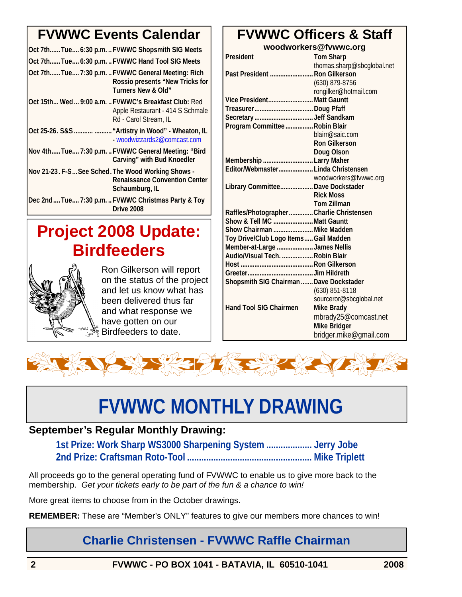# **FVWWC Events Calendar**

|                                                    | Oct 7th Tue 6:30 p.m.  FVWWC Shopsmith SIG Meets                                                                  |
|----------------------------------------------------|-------------------------------------------------------------------------------------------------------------------|
|                                                    | Oct 7th Tue 6:30 p.m.  FVWWC Hand Tool SIG Meets                                                                  |
|                                                    | Oct 7th Tue 7:30 p.m.  FVWWC General Meeting: Rich<br>Rossio presents "New Tricks for<br>Turners New & Old"       |
|                                                    | Oct 15th Wed  9:00 a.m.  FVWWC's Breakfast Club: Red<br>Apple Restaurant - 414 S Schmale<br>Rd - Carol Stream, IL |
|                                                    | Oct 25-26. S&S   "Artistry in Wood" - Wheaton, IL<br>- woodwizzards2@comcast.com                                  |
|                                                    | Nov 4th Tue 7:30 p.m.  FVWWC General Meeting: "Bird<br>Carving" with Bud Knoedler                                 |
| Nov 21-23. F-S See Sched. The Wood Working Shows - | <b>Renaissance Convention Center</b><br>Schaumburg, IL                                                            |
|                                                    | Dec 2ndTue7:30 p.mFVWWC Christmas Party & Toy<br>Drive 2008                                                       |

# **Project 2008 Update: Birdfeeders**



Ron Gilkerson will report on the status of the project and let us know what has been delivered thus far and what response we have gotten on our Birdfeeders to date.

# **FVWWC Officers & Staff**

| woodworkers@fvwwc.org                   |                            |
|-----------------------------------------|----------------------------|
| President                               | <b>Tom Sharp</b>           |
|                                         | thomas.sharp@sbcglobal.net |
| Past President  Ron Gilkerson           |                            |
|                                         | (630) 879-8756             |
|                                         | rongilker@hotmail.com      |
| Vice President Matt Gauntt              |                            |
| TreasurerDoug Pfaff                     |                            |
|                                         |                            |
| Program Committee  Robin Blair          |                            |
|                                         | blairr@saic.com            |
|                                         | <b>Ron Gilkerson</b>       |
|                                         | Doug Olson                 |
| Membership Larry Maher                  |                            |
| Editor/Webmaster Linda Christensen      |                            |
|                                         | woodworkers@fvwwc.org      |
| Library Committee Dave Dockstader       |                            |
|                                         | <b>Rick Moss</b>           |
|                                         | <b>Tom Zillman</b>         |
| Raffles/PhotographerCharlie Christensen |                            |
| Show & Tell MC Matt Gauntt              |                            |
| Show Chairman  Mike Madden              |                            |
| Toy Drive/Club Logo Items Gail Madden   |                            |
| Member-at-Large James Nellis            |                            |
| Audio/Visual Tech.  Robin Blair         |                            |
|                                         |                            |
|                                         |                            |
| Shopsmith SIG Chairman  Dave Dockstader |                            |
|                                         | $(630)$ 851-8118           |
|                                         | sourceror@sbcglobal.net    |
| <b>Hand Tool SIG Chairmen</b>           | <b>Mike Brady</b>          |
|                                         | mbrady25@comcast.net       |
|                                         | <b>Mike Bridger</b>        |
|                                         | bridger.mike@gmail.com     |



# **FVWWC MONTHLY DRAWING**

## **September's Regular Monthly Drawing:**

**1st Prize: Work Sharp WS3000 Sharpening System ................... Jerry Jobe 2nd Prize: Craftsman Roto-Tool .................................................... Mike Triplett** 

All proceeds go to the general operating fund of FVWWC to enable us to give more back to the membership. *Get your tickets early to be part of the fun & a chance to win!* 

More great items to choose from in the October drawings.

**REMEMBER:** These are "Member's ONLY" features to give our members more chances to win!

## **Charlie Christensen - FVWWC Raffle Chairman**

**2 FVWWC - PO BOX 1041 - BATAVIA, IL 60510-1041 2008**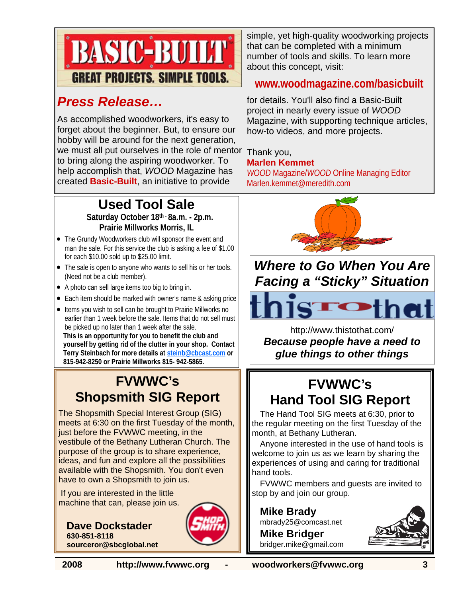

## *Press Release…*

As accomplished woodworkers, it's easy to forget about the beginner. But, to ensure our hobby will be around for the next generation, we must all put ourselves in the role of mentor to bring along the aspiring woodworker. To help accomplish that, *WOOD* Magazine has created **Basic-Built**, an initiative to provide

## **Used Tool Sale**

**Saturday October 18th - 8a.m. - 2p.m. Prairie Millworks Morris, IL**

- The Grundy Woodworkers club will sponsor the event and man the sale. For this service the club is asking a fee of \$1.00 for each \$10.00 sold up to \$25.00 limit.
- The sale is open to anyone who wants to sell his or her tools. (Need not be a club member).
- A photo can sell large items too big to bring in.
- Each item should be marked with owner's name & asking price
- Items you wish to sell can be brought to Prairie Millworks no earlier than 1 week before the sale. Items that do not sell must be picked up no later than 1 week after the sale. **This is an opportunity for you to benefit the club and yourself by getting rid of the clutter in your shop. Contact Terry Steinbach for more details at steinb@cbcast.com or 815-942-8250 or Prairie Millworks 815- 942-5865.**

## **FVWWC's Shopsmith SIG Report**

The Shopsmith Special Interest Group (SIG) meets at 6:30 on the first Tuesday of the month, just before the FVWWC meeting, in the vestibule of the Bethany Lutheran Church. The purpose of the group is to share experience, ideas, and fun and explore all the possibilities available with the Shopsmith. You don't even have to own a Shopsmith to join us.

 If you are interested in the little machine that can, please join us.

**Dave Dockstader 630-851-8118 sourceror@sbcglobal.net**



simple, yet high-quality woodworking projects that can be completed with a minimum number of tools and skills. To learn more about this concept, visit:

## **www.woodmagazine.com/basicbuilt**

for details. You'll also find a Basic-Built project in nearly every issue of *WOOD* Magazine, with supporting technique articles, how-to videos, and more projects.

#### Thank you, **Marlen Kemmet**

*WOOD* Magazine/*WOOD* Online Managing Editor Marlen.kemmet@meredith.com



## *Where to Go When You Are Facing a "Sticky" Situation*

http://www.thistothat.com/ *Because people have a need to glue things to other things*

# **FVWWC's Hand Tool SIG Report**

The Hand Tool SIG meets at 6:30, prior to the regular meeting on the first Tuesday of the month, at Bethany Lutheran.

Anyone interested in the use of hand tools is welcome to join us as we learn by sharing the experiences of using and caring for traditional hand tools.

FVWWC members and guests are invited to stop by and join our group.

**Mike Brady**  mbrady25@comcast.net

**Mike Bridger**  bridger.mike@gmail.com



**2008 http://www.fvwwc.org - woodworkers@fvwwc.org 3**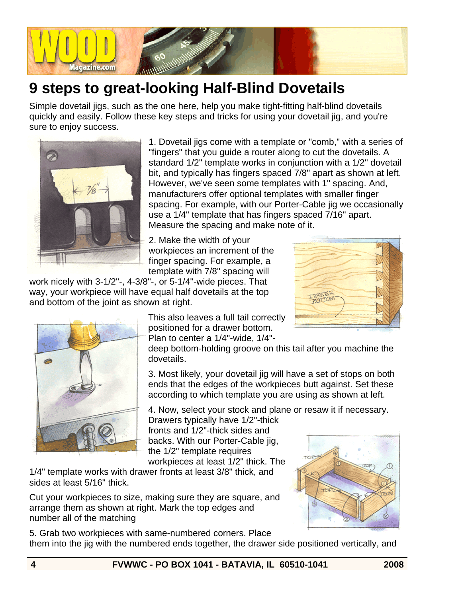

# **9 steps to great-looking Half-Blind Dovetails**

Simple dovetail jigs, such as the one here, help you make tight-fitting half-blind dovetails quickly and easily. Follow these key steps and tricks for using your dovetail jig, and you're sure to enjoy success.



1. Dovetail jigs come with a template or "comb," with a series of "fingers" that you guide a router along to cut the dovetails. A standard 1/2" template works in conjunction with a 1/2" dovetail bit, and typically has fingers spaced 7/8" apart as shown at left. However, we've seen some templates with 1" spacing. And, manufacturers offer optional templates with smaller finger spacing. For example, with our Porter-Cable jig we occasionally use a 1/4" template that has fingers spaced 7/16" apart. Measure the spacing and make note of it.

2. Make the width of your workpieces an increment of the finger spacing. For example, a template with 7/8" spacing will

work nicely with 3-1/2"-, 4-3/8"-, or 5-1/4"-wide pieces. That way, your workpiece will have equal half dovetails at the top and bottom of the joint as shown at right.





This also leaves a full tail correctly positioned for a drawer bottom. Plan to center a 1/4"-wide, 1/4"-

deep bottom-holding groove on this tail after you machine the dovetails.

3. Most likely, your dovetail jig will have a set of stops on both ends that the edges of the workpieces butt against. Set these according to which template you are using as shown at left.

4. Now, select your stock and plane or resaw it if necessary.

Drawers typically have 1/2"-thick fronts and 1/2"-thick sides and backs. With our Porter-Cable jig, the 1/2" template requires workpieces at least 1/2" thick. The

1/4" template works with drawer fronts at least 3/8" thick, and sides at least 5/16" thick.

Cut your workpieces to size, making sure they are square, and arrange them as shown at right. Mark the top edges and number all of the matching



5. Grab two workpieces with same-numbered corners. Place them into the jig with the numbered ends together, the drawer side positioned vertically, and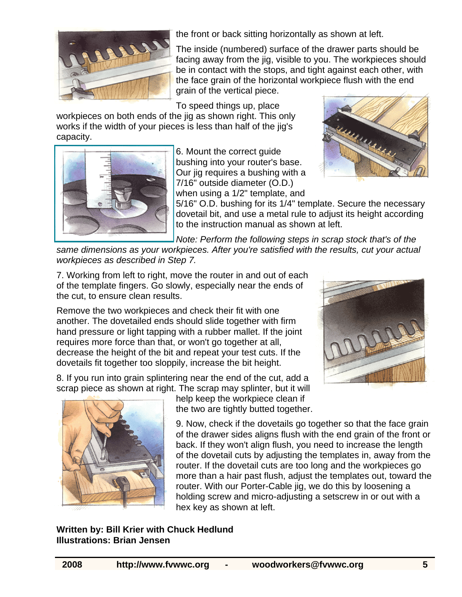

the front or back sitting horizontally as shown at left.

The inside (numbered) surface of the drawer parts should be facing away from the jig, visible to you. The workpieces should be in contact with the stops, and tight against each other, with the face grain of the horizontal workpiece flush with the end grain of the vertical piece.

To speed things up, place

workpieces on both ends of the jig as shown right. This only works if the width of your pieces is less than half of the jig's capacity.



6. Mount the correct guide bushing into your router's base. Our jig requires a bushing with a 7/16" outside diameter (O.D.) when using a 1/2" template, and



5/16" O.D. bushing for its 1/4" template. Secure the necessary dovetail bit, and use a metal rule to adjust its height according to the instruction manual as shown at left.

*Note: Perform the following steps in scrap stock that's of the* 

*same dimensions as your workpieces. After you're satisfied with the results, cut your actual workpieces as described in Step 7.*

7. Working from left to right, move the router in and out of each of the template fingers. Go slowly, especially near the ends of the cut, to ensure clean results.

Remove the two workpieces and check their fit with one another. The dovetailed ends should slide together with firm hand pressure or light tapping with a rubber mallet. If the joint requires more force than that, or won't go together at all, decrease the height of the bit and repeat your test cuts. If the dovetails fit together too sloppily, increase the bit height.

8. If you run into grain splintering near the end of the cut, add a scrap piece as shown at right. The scrap may splinter, but it will





help keep the workpiece clean if the two are tightly butted together.

9. Now, check if the dovetails go together so that the face grain of the drawer sides aligns flush with the end grain of the front or back. If they won't align flush, you need to increase the length of the dovetail cuts by adjusting the templates in, away from the router. If the dovetail cuts are too long and the workpieces go more than a hair past flush, adjust the templates out, toward the router. With our Porter-Cable jig, we do this by loosening a holding screw and micro-adjusting a setscrew in or out with a hex key as shown at left.

## **Written by: Bill Krier with Chuck Hedlund Illustrations: Brian Jensen**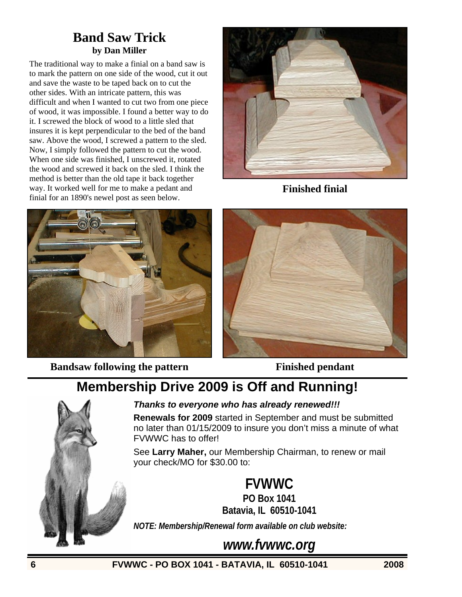## **Band Saw Trick by Dan Miller**

The traditional way to make a finial on a band saw is to mark the pattern on one side of the wood, cut it out and save the waste to be taped back on to cut the other sides. With an intricate pattern, this was difficult and when I wanted to cut two from one piece of wood, it was impossible. I found a better way to do it. I screwed the block of wood to a little sled that insures it is kept perpendicular to the bed of the band saw. Above the wood, I screwed a pattern to the sled. Now, I simply followed the pattern to cut the wood. When one side was finished, I unscrewed it, rotated the wood and screwed it back on the sled. I think the method is better than the old tape it back together way. It worked well for me to make a pedant and finial for an 1890's newel post as seen below.



**Finished finial** 



**Bandsaw following the pattern Finished pendant** 



# **Membership Drive 2009 is Off and Running!**



### *Thanks to everyone who has already renewed!!!*

**Renewals for 2009** started in September and must be submitted no later than 01/15/2009 to insure you don't miss a minute of what FVWWC has to offer!

See **Larry Maher,** our Membership Chairman, to renew or mail your check/MO for \$30.00 to:

**FVWWC**

**PO Box 1041 Batavia, IL 60510-1041**

*NOTE: Membership/Renewal form available on club website:* 

*www.fvwwc.org*

**6 FVWWC - PO BOX 1041 - BATAVIA, IL 60510-1041 2008**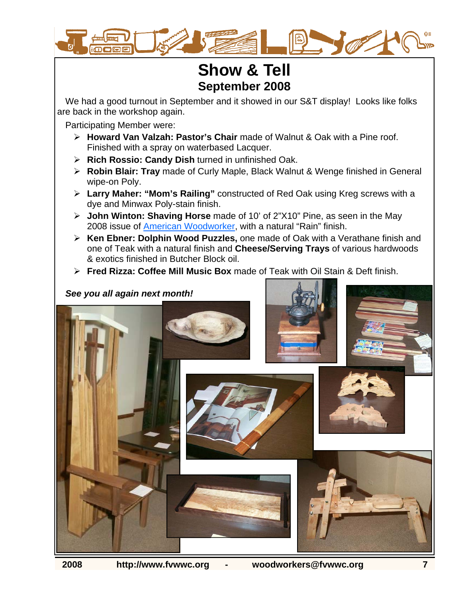

## **Show & Tell September 2008**

We had a good turnout in September and it showed in our S&T display! Looks like folks are back in the workshop again.

Participating Member were:

- ¾ **Howard Van Valzah: Pastor's Chair** made of Walnut & Oak with a Pine roof. Finished with a spray on waterbased Lacquer.
- ¾ **Rich Rossio: Candy Dish** turned in unfinished Oak.
- ¾ **Robin Blair: Tray** made of Curly Maple, Black Walnut & Wenge finished in General wipe-on Poly.
- ¾ **Larry Maher: "Mom's Railing"** constructed of Red Oak using Kreg screws with a dye and Minwax Poly-stain finish.
- ¾ **John Winton: Shaving Horse** made of 10' of 2"X10" Pine, as seen in the May 2008 issue of American Woodworker, with a natural "Rain" finish.
- ¾ **Ken Ebner: Dolphin Wood Puzzles,** one made of Oak with a Verathane finish and one of Teak with a natural finish and **Cheese/Serving Trays** of various hardwoods & exotics finished in Butcher Block oil.
- ¾ **Fred Rizza: Coffee Mill Music Box** made of Teak with Oil Stain & Deft finish.

## *See you all again next month!*